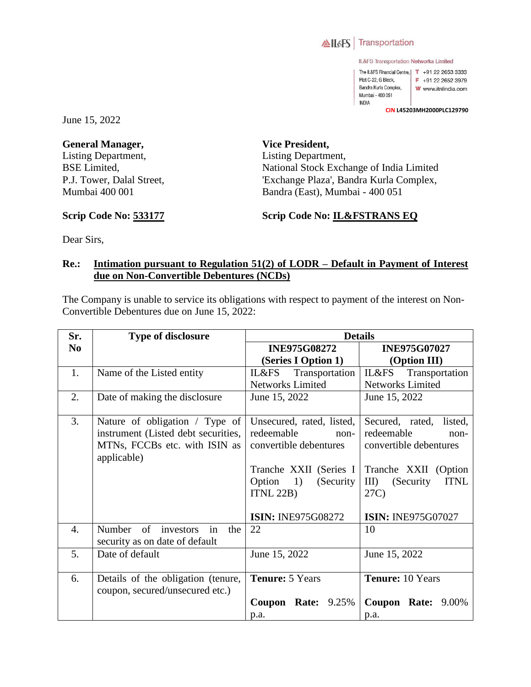

IL&FS Transportation Networks Limited

The IL&FS Financial Centre, | T +91 22 2653 3333 Plot C-22, G Block, F +91 22 2652 3979 Bandra Kurla Complex, W www.itnlindia.com Mumbai - 400 051 **INDIA** 

**CIN L45203MH2000PLC129790**

June 15, 2022

**General Manager,**  Listing Department, BSE Limited, P.J. Tower, Dalal Street, Mumbai 400 001

**Vice President,**  Listing Department, National Stock Exchange of India Limited 'Exchange Plaza', Bandra Kurla Complex, Bandra (East), Mumbai - 400 051

## **Scrip Code No: 533177**

**Scrip Code No: IL&FSTRANS EQ**

Dear Sirs,

## **Re.: Intimation pursuant to Regulation 51(2) of LODR – Default in Payment of Interest due on Non-Convertible Debentures (NCDs)**

The Company is unable to service its obligations with respect to payment of the interest on Non-Convertible Debentures due on June 15, 2022:

| Sr.              | <b>Type of disclosure</b>                                                                                             | <b>Details</b>                                                                                                                                                                     |                                                                                                                                                                                    |  |  |  |  |
|------------------|-----------------------------------------------------------------------------------------------------------------------|------------------------------------------------------------------------------------------------------------------------------------------------------------------------------------|------------------------------------------------------------------------------------------------------------------------------------------------------------------------------------|--|--|--|--|
| N <sub>0</sub>   |                                                                                                                       | <b>INE975G08272</b>                                                                                                                                                                | <b>INE975G07027</b>                                                                                                                                                                |  |  |  |  |
|                  |                                                                                                                       | (Series I Option 1)                                                                                                                                                                | (Option III)                                                                                                                                                                       |  |  |  |  |
| 1.               | Name of the Listed entity                                                                                             | IL&FS<br>Transportation                                                                                                                                                            | IL&FS<br>Transportation                                                                                                                                                            |  |  |  |  |
|                  |                                                                                                                       | <b>Networks Limited</b>                                                                                                                                                            | <b>Networks Limited</b>                                                                                                                                                            |  |  |  |  |
| 2.               | Date of making the disclosure                                                                                         | June 15, 2022                                                                                                                                                                      | June 15, 2022                                                                                                                                                                      |  |  |  |  |
| 3.               | Nature of obligation / Type of<br>instrument (Listed debt securities,<br>MTNs, FCCBs etc. with ISIN as<br>applicable) | Unsecured, rated, listed,<br>redeemable<br>non-<br>convertible debentures<br>Tranche XXII (Series I<br>1)<br>Option<br>(Security)<br><b>ITNL 22B)</b><br><b>ISIN: INE975G08272</b> | Secured, rated,<br>listed,<br>redeemable<br>non-<br>convertible debentures<br>Tranche XXII (Option<br>$\rm{III}$<br><b>ITNL</b><br>(Security)<br>27C)<br><b>ISIN: INE975G07027</b> |  |  |  |  |
| $\overline{4}$ . | Number of<br>investors<br>in<br>the<br>security as on date of default                                                 | 22                                                                                                                                                                                 | 10                                                                                                                                                                                 |  |  |  |  |
| 5.               | Date of default                                                                                                       | June 15, 2022                                                                                                                                                                      | June 15, 2022                                                                                                                                                                      |  |  |  |  |
| 6.               | Details of the obligation (tenure,<br>coupon, secured/unsecured etc.)                                                 | <b>Tenure: 5 Years</b>                                                                                                                                                             | <b>Tenure:</b> 10 Years                                                                                                                                                            |  |  |  |  |
|                  |                                                                                                                       | <b>Rate:</b> 9.25%<br>Coupon                                                                                                                                                       | <b>Coupon Rate:</b><br>9.00%                                                                                                                                                       |  |  |  |  |
|                  |                                                                                                                       | p.a.                                                                                                                                                                               | p.a.                                                                                                                                                                               |  |  |  |  |